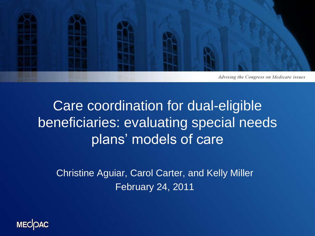

#### Care coordination for dual-eligible beneficiaries: evaluating special needs plans' models of care

Christine Aguiar, Carol Carter, and Kelly Miller February 24, 2011

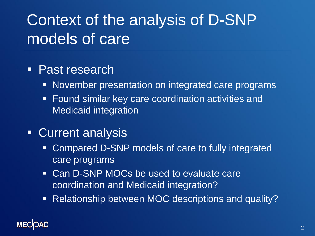## Context of the analysis of D-SNP models of care

#### ■ Past research

- **November presentation on integrated care programs**
- **Found similar key care coordination activities and** Medicaid integration
- **Current analysis** 
	- Compared D-SNP models of care to fully integrated care programs
	- **Can D-SNP MOCs be used to evaluate care** coordination and Medicaid integration?
	- **Relationship between MOC descriptions and quality?**

#### **MECIOAC**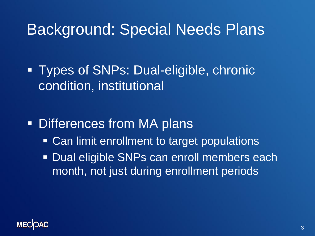#### Background: Special Needs Plans

 Types of SNPs: Dual-eligible, chronic condition, institutional

**Differences from MA plans** 

- **Can limit enrollment to target populations**
- **Dual eligible SNPs can enroll members each** month, not just during enrollment periods

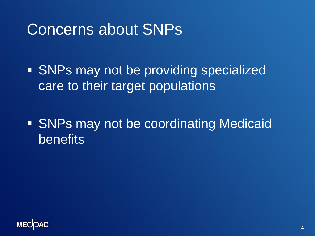#### Concerns about SNPs

**SNPs may not be providing specialized** care to their target populations

**SNPs may not be coordinating Medicaid** benefits

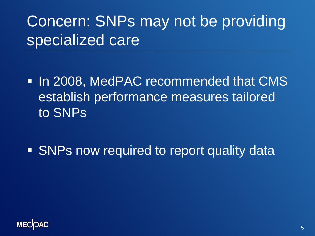# Concern: SNPs may not be providing specialized care

- **In 2008, MedPAC recommended that CMS** establish performance measures tailored to SNPs
- **SNPs now required to report quality data**

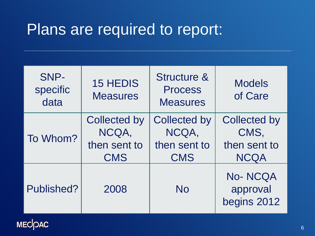#### Plans are required to report:

| SNP-<br>specific<br>data | <b>15 HEDIS</b><br><b>Measures</b>                         | <b>Structure &amp;</b><br><b>Process</b><br><b>Measures</b> | <b>Models</b><br>of Care                                   |
|--------------------------|------------------------------------------------------------|-------------------------------------------------------------|------------------------------------------------------------|
| To Whom?                 | <b>Collected by</b><br>NCQA,<br>then sent to<br><b>CMS</b> | <b>Collected by</b><br>NCQA,<br>then sent to<br><b>CMS</b>  | <b>Collected by</b><br>CMS,<br>then sent to<br><b>NCQA</b> |
| Published?               | 2008                                                       | <b>No</b>                                                   | <b>No-NCQA</b><br>approval<br>begins 2012                  |

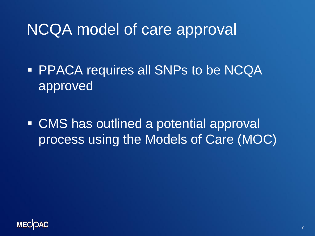#### NCQA model of care approval

**PPACA requires all SNPs to be NCQA** approved

 CMS has outlined a potential approval process using the Models of Care (MOC)

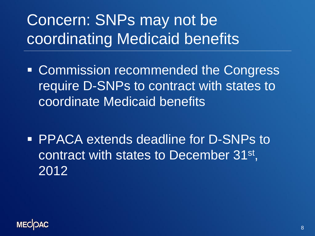# Concern: SNPs may not be coordinating Medicaid benefits

- **EXCOMMISSION recommended the Congress** require D-SNPs to contract with states to coordinate Medicaid benefits
- **PPACA extends deadline for D-SNPs to** contract with states to December 31<sup>st</sup>, 2012

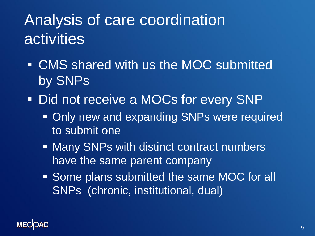## Analysis of care coordination activities

- CMS shared with us the MOC submitted by SNPs
- **Did not receive a MOCs for every SNP** 
	- **Only new and expanding SNPs were required** to submit one
	- Many SNPs with distinct contract numbers have the same parent company
	- **Some plans submitted the same MOC for all** SNPs (chronic, institutional, dual)

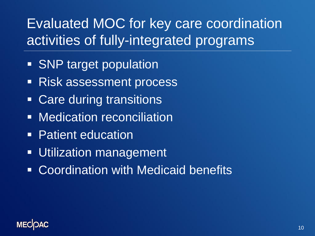#### Evaluated MOC for key care coordination activities of fully-integrated programs

- SNP target population
- **Risk assessment process**
- Care during transitions
- **Nedication reconciliation**
- **Patient education**
- **Utilization management**
- **EXPOCED Coordination with Medicaid benefits**

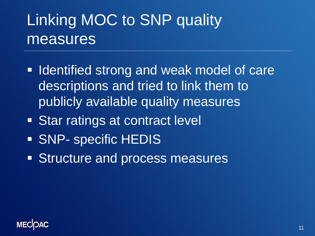## Linking MOC to SNP quality measures

- **If Identified strong and weak model of care** descriptions and tried to link them to publicly available quality measures
- **Star ratings at contract level**
- **SNP- specific HEDIS**
- **Structure and process measures**

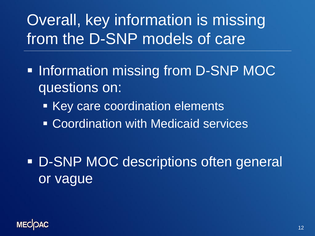## Overall, key information is missing from the D-SNP models of care

- **Information missing from D-SNP MOC** questions on:
	- **Key care coordination elements**
	- Coordination with Medicaid services

**D-SNP MOC descriptions often general** or vague

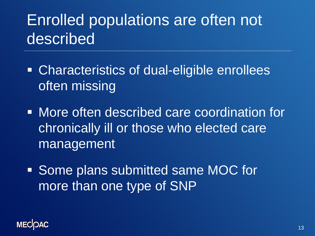## Enrolled populations are often not described

- Characteristics of dual-eligible enrollees often missing
- **Nore often described care coordination for** chronically ill or those who elected care management
- **Some plans submitted same MOC for** more than one type of SNP

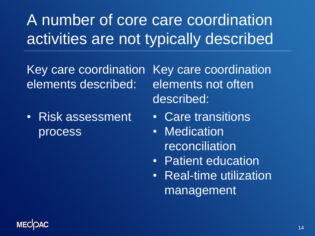A number of core care coordination activities are not typically described

Key care coordination elements described:

• Risk assessment process

Key care coordination elements not often described:

- Care transitions
- Medication **reconciliation**
- Patient education
- Real-time utilization management

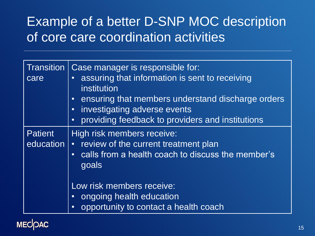#### Example of a better D-SNP MOC description of core care coordination activities

| <b>Transition</b><br>care   | Case manager is responsible for:<br>assuring that information is sent to receiving<br>$\bullet$<br>institution<br>ensuring that members understand discharge orders<br>$\bullet$<br>investigating adverse events<br>$\bullet$<br>providing feedback to providers and institutions<br>$\bullet$ |
|-----------------------------|------------------------------------------------------------------------------------------------------------------------------------------------------------------------------------------------------------------------------------------------------------------------------------------------|
| <b>Patient</b><br>education | High risk members receive:<br>review of the current treatment plan<br>$\bullet$<br>calls from a health coach to discuss the member's<br>$\bullet$<br>goals<br>Low risk members receive:                                                                                                        |
|                             | ongoing health education<br>$\bullet$<br>opportunity to contact a health coach<br>$\bullet$                                                                                                                                                                                                    |

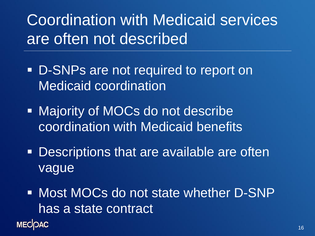Coordination with Medicaid services are often not described

- **D-SNPs are not required to report on** Medicaid coordination
- Majority of MOCs do not describe coordination with Medicaid benefits
- **Descriptions that are available are often** vague
- Most MOCs do not state whether D-SNP has a state contract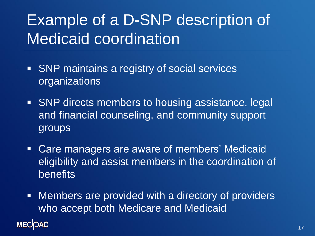## Example of a D-SNP description of Medicaid coordination

- **SNP** maintains a registry of social services organizations
- **SNP** directs members to housing assistance, legal and financial counseling, and community support groups
- Care managers are aware of members' Medicaid eligibility and assist members in the coordination of benefits
- **Nembers are provided with a directory of providers** who accept both Medicare and Medicaid

#### **MECOAC**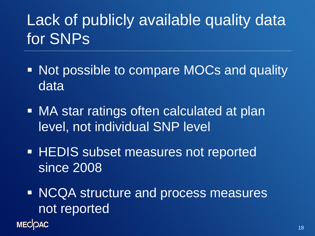# Lack of publicly available quality data for SNPs

- Not possible to compare MOCs and quality data
- MA star ratings often calculated at plan level, not individual SNP level
- **HEDIS subset measures not reported** since 2008
- NCQA structure and process measures not reported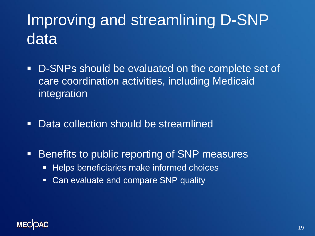# Improving and streamlining D-SNP data

- D-SNPs should be evaluated on the complete set of care coordination activities, including Medicaid integration
- Data collection should be streamlined
- **Benefits to public reporting of SNP measures** 
	- **Helps beneficiaries make informed choices**
	- **Can evaluate and compare SNP quality**

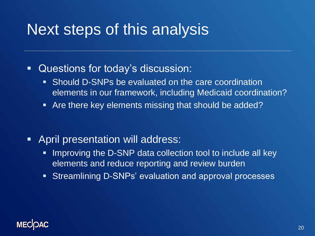#### Next steps of this analysis

- Questions for today's discussion:
	- Should D-SNPs be evaluated on the care coordination elements in our framework, including Medicaid coordination?
	- **Are there key elements missing that should be added?**

- **April presentation will address:** 
	- **IMPROVING the D-SNP data collection tool to include all key** elements and reduce reporting and review burden
	- Streamlining D-SNPs' evaluation and approval processes

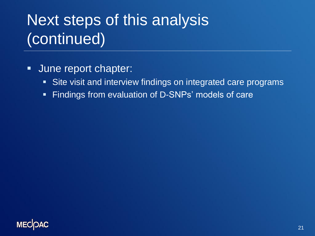# Next steps of this analysis (continued)

- **June report chapter:** 
	- **Site visit and interview findings on integrated care programs**
	- **Findings from evaluation of D-SNPs' models of care**